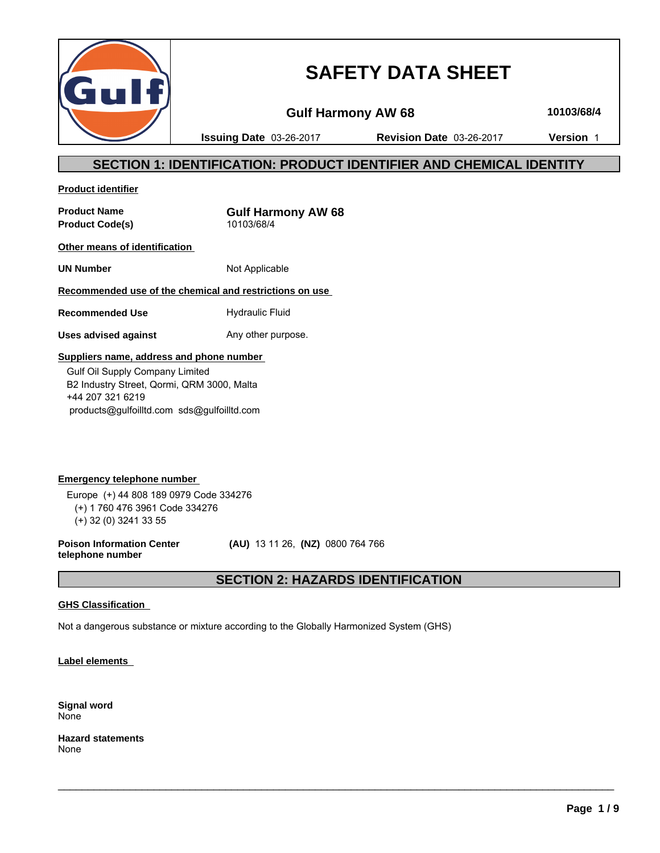

# **SAFETY DATA SHEET**

**Gulf Harmony AW 68 10103/68/4**

**Issuing Date** 03-26-2017 **Revision Date** 03-26-2017 **Version** 1

# **SECTION 1: IDENTIFICATION: PRODUCT IDENTIFIER AND CHEMICAL IDENTITY**

**Product identifier**

**Product Name**<br> **Product Code(s)**<br> **Product Code(s)**<br> **CODEC 10103/68/4 Product Code(s)** 

**Other means of identification** 

**UN Number** Not Applicable

**Recommended use of the chemical and restrictions on use** 

**Recommended Use** Hydraulic Fluid

**Uses advised against** Any other purpose.

### **Suppliers name, address and phone number**

 Gulf Oil Supply Company Limited B2 Industry Street, Qormi, QRM 3000, Malta +44 207 321 6219 products@gulfoilltd.com sds@gulfoilltd.com

**Emergency telephone number**  Europe (+) 44 808 189 0979 Code 334276 (+) 1 760 476 3961 Code 334276 (+) 32 (0) 3241 33 55

**Poison Information Center telephone number**

 **(AU)** 13 11 26, **(NZ)** 0800 764 766

# **SECTION 2: HAZARDS IDENTIFICATION**

 $\_$  ,  $\_$  ,  $\_$  ,  $\_$  ,  $\_$  ,  $\_$  ,  $\_$  ,  $\_$  ,  $\_$  ,  $\_$  ,  $\_$  ,  $\_$  ,  $\_$  ,  $\_$  ,  $\_$  ,  $\_$  ,  $\_$  ,  $\_$  ,  $\_$  ,  $\_$  ,  $\_$  ,  $\_$  ,  $\_$  ,  $\_$  ,  $\_$  ,  $\_$  ,  $\_$  ,  $\_$  ,  $\_$  ,  $\_$  ,  $\_$  ,  $\_$  ,  $\_$  ,  $\_$  ,  $\_$  ,  $\_$  ,  $\_$  ,

### **GHS Classification**

Not a dangerous substance or mixture according to the Globally Harmonized System (GHS)

**Label elements** 

**Signal word** None

**Hazard statements** None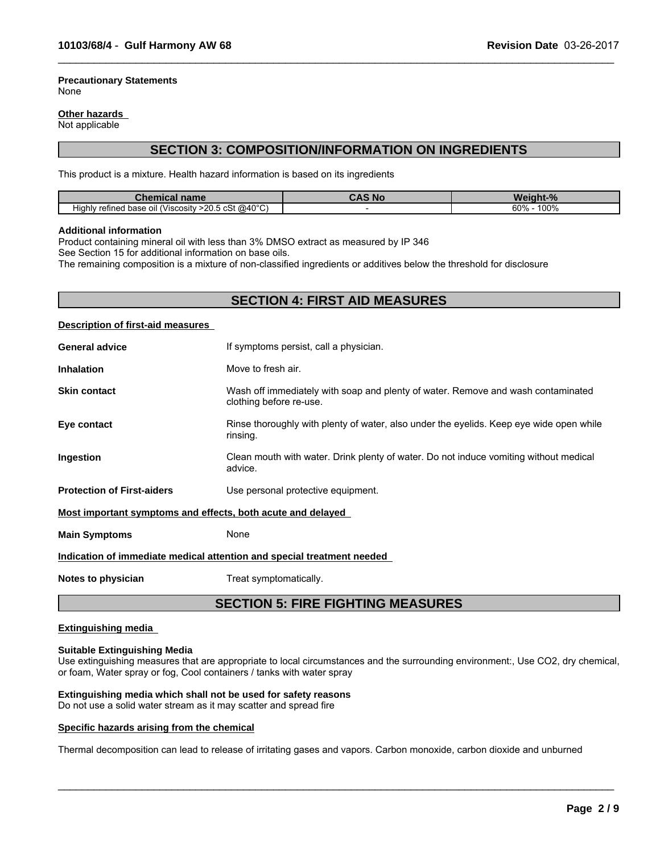#### **Precautionary Statements** None

#### **Other hazards**

Not applicable

# **SECTION 3: COMPOSITION/INFORMATION ON INGREDIENTS**

 $\_$  ,  $\_$  ,  $\_$  ,  $\_$  ,  $\_$  ,  $\_$  ,  $\_$  ,  $\_$  ,  $\_$  ,  $\_$  ,  $\_$  ,  $\_$  ,  $\_$  ,  $\_$  ,  $\_$  ,  $\_$  ,  $\_$  ,  $\_$  ,  $\_$  ,  $\_$  ,  $\_$  ,  $\_$  ,  $\_$  ,  $\_$  ,  $\_$  ,  $\_$  ,  $\_$  ,  $\_$  ,  $\_$  ,  $\_$  ,  $\_$  ,  $\_$  ,  $\_$  ,  $\_$  ,  $\_$  ,  $\_$  ,  $\_$  ,

This product is a mixture. Health hazard information is based on its ingredients

| ----<br>name<br>Chen<br>шсаг                                           | , Nc | <b>n</b>                  |
|------------------------------------------------------------------------|------|---------------------------|
| $>$ 20.5 cSt @40°C)<br>.<br>refined base<br>oil (Viscosity ؛<br>Hiahlv |      | 100%<br>60%<br>$v_{\ell}$ |

#### **Additional information**

Product containing mineral oil with less than 3% DMSO extract as measured by IP 346

See Section 15 for additional information on base oils.

The remaining composition is a mixture of non-classified ingredients or additives below the threshold for disclosure

# **SECTION 4: FIRST AID MEASURES**

#### **Description of first-aid measures**

| <b>Inhalation</b>                                           | Move to fresh air.                                                                                          |
|-------------------------------------------------------------|-------------------------------------------------------------------------------------------------------------|
| <b>Skin contact</b>                                         | Wash off immediately with soap and plenty of water. Remove and wash contaminated<br>clothing before re-use. |
| Eye contact                                                 | Rinse thoroughly with plenty of water, also under the eyelids. Keep eye wide open while<br>rinsing.         |
| Ingestion                                                   | Clean mouth with water. Drink plenty of water. Do not induce vomiting without medical<br>advice.            |
| <b>Protection of First-aiders</b>                           | Use personal protective equipment.                                                                          |
| Most important symptoms and effects, both acute and delayed |                                                                                                             |
| <b>Main Symptoms</b>                                        | None                                                                                                        |
|                                                             | Indication of immediate medical attention and special treatment needed                                      |

**Notes to physician** Treat symptomatically.

# **SECTION 5: FIRE FIGHTING MEASURES**

#### **Extinguishing media**

### **Suitable Extinguishing Media**

Use extinguishing measures that are appropriate to local circumstances and the surrounding environment:, Use CO2, dry chemical, or foam, Water spray or fog, Cool containers / tanks with water spray

 $\_$  ,  $\_$  ,  $\_$  ,  $\_$  ,  $\_$  ,  $\_$  ,  $\_$  ,  $\_$  ,  $\_$  ,  $\_$  ,  $\_$  ,  $\_$  ,  $\_$  ,  $\_$  ,  $\_$  ,  $\_$  ,  $\_$  ,  $\_$  ,  $\_$  ,  $\_$  ,  $\_$  ,  $\_$  ,  $\_$  ,  $\_$  ,  $\_$  ,  $\_$  ,  $\_$  ,  $\_$  ,  $\_$  ,  $\_$  ,  $\_$  ,  $\_$  ,  $\_$  ,  $\_$  ,  $\_$  ,  $\_$  ,  $\_$  ,

# **Extinguishing media which shall not be used for safety reasons**

Do not use a solid water stream as it may scatter and spread fire

#### **Specific hazards arising from the chemical**

Thermal decomposition can lead to release of irritating gases and vapors. Carbon monoxide, carbon dioxide and unburned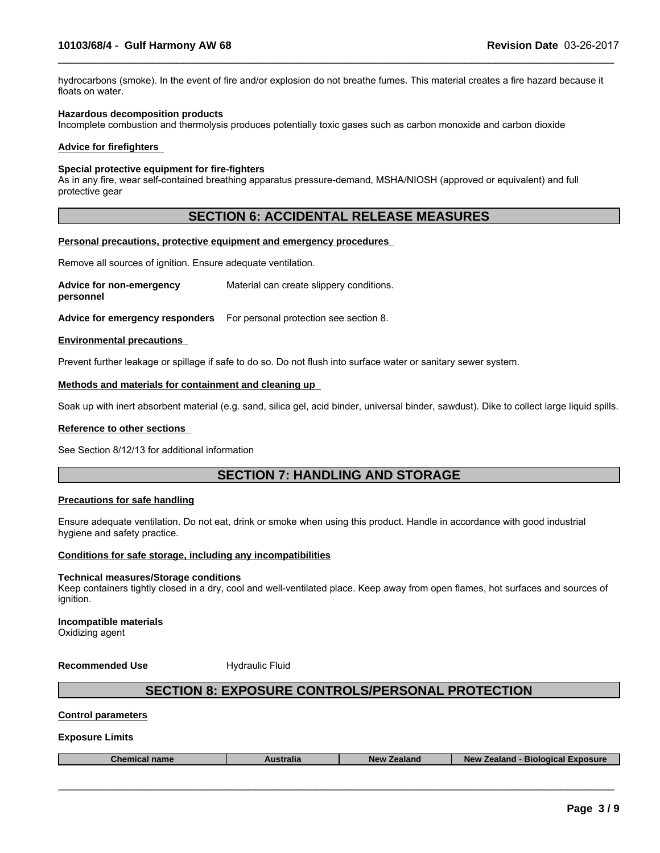hydrocarbons (smoke). In the event of fire and/or explosion do not breathe fumes. This material creates a fire hazard because it floats on water.

 $\_$  ,  $\_$  ,  $\_$  ,  $\_$  ,  $\_$  ,  $\_$  ,  $\_$  ,  $\_$  ,  $\_$  ,  $\_$  ,  $\_$  ,  $\_$  ,  $\_$  ,  $\_$  ,  $\_$  ,  $\_$  ,  $\_$  ,  $\_$  ,  $\_$  ,  $\_$  ,  $\_$  ,  $\_$  ,  $\_$  ,  $\_$  ,  $\_$  ,  $\_$  ,  $\_$  ,  $\_$  ,  $\_$  ,  $\_$  ,  $\_$  ,  $\_$  ,  $\_$  ,  $\_$  ,  $\_$  ,  $\_$  ,  $\_$  ,

#### **Hazardous decomposition products**

Incomplete combustion and thermolysis produces potentially toxic gases such as carbon monoxide and carbon dioxide

#### **Advice for firefighters**

#### **Special protective equipment for fire-fighters**

As in any fire, wear self-contained breathing apparatus pressure-demand, MSHA/NIOSH (approved or equivalent) and full protective gear

# **SECTION 6: ACCIDENTAL RELEASE MEASURES**

#### **Personal precautions, protective equipment and emergency procedures**

Remove all sources of ignition. Ensure adequate ventilation.

**Advice for non-emergency personnel** Material can create slippery conditions.

**Advice for emergency responders** For personal protection see section 8.

#### **Environmental precautions**

Prevent further leakage or spillage if safe to do so. Do not flush into surface water or sanitary sewer system.

#### **Methods and materials for containment and cleaning up**

Soak up with inert absorbent material (e.g. sand, silica gel, acid binder, universal binder, sawdust). Dike to collect large liquid spills.

#### **Reference to other sections**

See Section 8/12/13 for additional information

# **SECTION 7: HANDLING AND STORAGE**

#### **Precautions for safe handling**

Ensure adequate ventilation. Do not eat, drink or smoke when using this product. Handle in accordance with good industrial hygiene and safety practice.

# **Conditions for safe storage, including any incompatibilities**

#### **Technical measures/Storage conditions**

Keep containers tightly closed in a dry, cool and well-ventilated place. Keep away from open flames, hot surfaces and sources of ignition.

**Incompatible materials** Oxidizing agent

**Recommended Use Hydraulic Fluid** 

# **SECTION 8: EXPOSURE CONTROLS/PERSONAL PROTECTION**

#### **Control parameters**

#### **Exposure Limits**

| <b>coosure</b><br>Biological<br>stralia<br>alang<br><b>NAW</b><br>Chemi<br>name<br>alall<br>заганч |
|----------------------------------------------------------------------------------------------------|
|----------------------------------------------------------------------------------------------------|

 $\_$  ,  $\_$  ,  $\_$  ,  $\_$  ,  $\_$  ,  $\_$  ,  $\_$  ,  $\_$  ,  $\_$  ,  $\_$  ,  $\_$  ,  $\_$  ,  $\_$  ,  $\_$  ,  $\_$  ,  $\_$  ,  $\_$  ,  $\_$  ,  $\_$  ,  $\_$  ,  $\_$  ,  $\_$  ,  $\_$  ,  $\_$  ,  $\_$  ,  $\_$  ,  $\_$  ,  $\_$  ,  $\_$  ,  $\_$  ,  $\_$  ,  $\_$  ,  $\_$  ,  $\_$  ,  $\_$  ,  $\_$  ,  $\_$  ,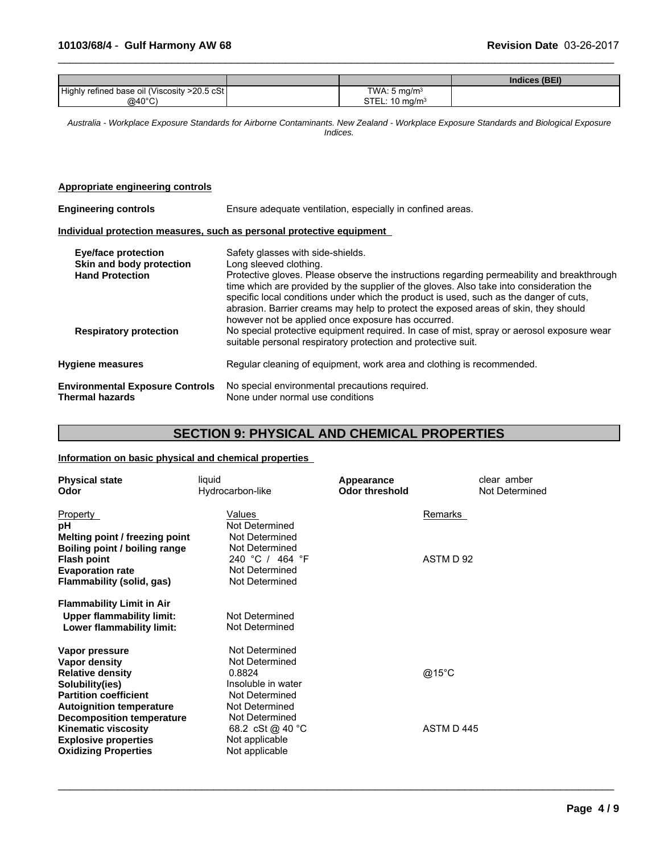|                                               |                            | Indices (BEI) |
|-----------------------------------------------|----------------------------|---------------|
| Highly refined base oil (Viscosity >20.5 cSt) | TWA: $5 \text{ mg/m}^3$    |               |
| $@40^{\circ}$ C)                              | STEL: 10 mg/m <sup>3</sup> |               |

 $\_$  ,  $\_$  ,  $\_$  ,  $\_$  ,  $\_$  ,  $\_$  ,  $\_$  ,  $\_$  ,  $\_$  ,  $\_$  ,  $\_$  ,  $\_$  ,  $\_$  ,  $\_$  ,  $\_$  ,  $\_$  ,  $\_$  ,  $\_$  ,  $\_$  ,  $\_$  ,  $\_$  ,  $\_$  ,  $\_$  ,  $\_$  ,  $\_$  ,  $\_$  ,  $\_$  ,  $\_$  ,  $\_$  ,  $\_$  ,  $\_$  ,  $\_$  ,  $\_$  ,  $\_$  ,  $\_$  ,  $\_$  ,  $\_$  ,

*Australia - Workplace Exposure Standards for Airborne Contaminants. New Zealand - Workplace Exposure Standards and Biological Exposure Indices.*

### **Appropriate engineering controls**

| <b>Engineering controls</b>                                                      | Ensure adequate ventilation, especially in confined areas.                                                                                                                                                                                                                                                                                                                                                                                                                                  |  |  |  |
|----------------------------------------------------------------------------------|---------------------------------------------------------------------------------------------------------------------------------------------------------------------------------------------------------------------------------------------------------------------------------------------------------------------------------------------------------------------------------------------------------------------------------------------------------------------------------------------|--|--|--|
|                                                                                  | Individual protection measures, such as personal protective equipment                                                                                                                                                                                                                                                                                                                                                                                                                       |  |  |  |
| <b>Eye/face protection</b><br>Skin and body protection<br><b>Hand Protection</b> | Safety glasses with side-shields.<br>Long sleeved clothing.<br>Protective gloves. Please observe the instructions regarding permeability and breakthrough<br>time which are provided by the supplier of the gloves. Also take into consideration the<br>specific local conditions under which the product is used, such as the danger of cuts,<br>abrasion. Barrier creams may help to protect the exposed areas of skin, they should<br>however not be applied once exposure has occurred. |  |  |  |
| <b>Respiratory protection</b>                                                    | No special protective equipment required. In case of mist, spray or aerosol exposure wear<br>suitable personal respiratory protection and protective suit.                                                                                                                                                                                                                                                                                                                                  |  |  |  |
| <b>Hygiene measures</b>                                                          | Regular cleaning of equipment, work area and clothing is recommended.                                                                                                                                                                                                                                                                                                                                                                                                                       |  |  |  |
| <b>Environmental Exposure Controls</b><br><b>Thermal hazards</b>                 | No special environmental precautions required.<br>None under normal use conditions                                                                                                                                                                                                                                                                                                                                                                                                          |  |  |  |

# **SECTION 9: PHYSICAL AND CHEMICAL PROPERTIES**

 $\_$  ,  $\_$  ,  $\_$  ,  $\_$  ,  $\_$  ,  $\_$  ,  $\_$  ,  $\_$  ,  $\_$  ,  $\_$  ,  $\_$  ,  $\_$  ,  $\_$  ,  $\_$  ,  $\_$  ,  $\_$  ,  $\_$  ,  $\_$  ,  $\_$  ,  $\_$  ,  $\_$  ,  $\_$  ,  $\_$  ,  $\_$  ,  $\_$  ,  $\_$  ,  $\_$  ,  $\_$  ,  $\_$  ,  $\_$  ,  $\_$  ,  $\_$  ,  $\_$  ,  $\_$  ,  $\_$  ,  $\_$  ,  $\_$  ,

### **Information on basic physical and chemical properties**

| <b>Physical state</b><br>Odor                                                                                                                    | liquid<br>Hydrocarbon-like                                                                           | Appearance<br><b>Odor threshold</b> | clear amber<br>Not Determined |
|--------------------------------------------------------------------------------------------------------------------------------------------------|------------------------------------------------------------------------------------------------------|-------------------------------------|-------------------------------|
| Property<br>рH<br>Melting point / freezing point<br>Boiling point / boiling range                                                                | Values<br>Not Determined<br>Not Determined<br>Not Determined                                         | Remarks                             |                               |
| <b>Flash point</b><br><b>Evaporation rate</b><br>Flammability (solid, gas)                                                                       | 240 °C / 464 °F<br>Not Determined<br>Not Determined                                                  | ASTM D 92                           |                               |
| <b>Flammability Limit in Air</b><br><b>Upper flammability limit:</b><br>Lower flammability limit:                                                | Not Determined<br>Not Determined                                                                     |                                     |                               |
| Vapor pressure<br>Vapor density<br><b>Relative density</b><br>Solubility(ies)<br><b>Partition coefficient</b><br><b>Autoignition temperature</b> | Not Determined<br>Not Determined<br>0.8824<br>Insoluble in water<br>Not Determined<br>Not Determined | @15°C                               |                               |
| <b>Decomposition temperature</b><br><b>Kinematic viscosity</b><br><b>Explosive properties</b><br><b>Oxidizing Properties</b>                     | Not Determined<br>68.2 cSt @ 40 °C<br>Not applicable<br>Not applicable                               | ASTM D445                           |                               |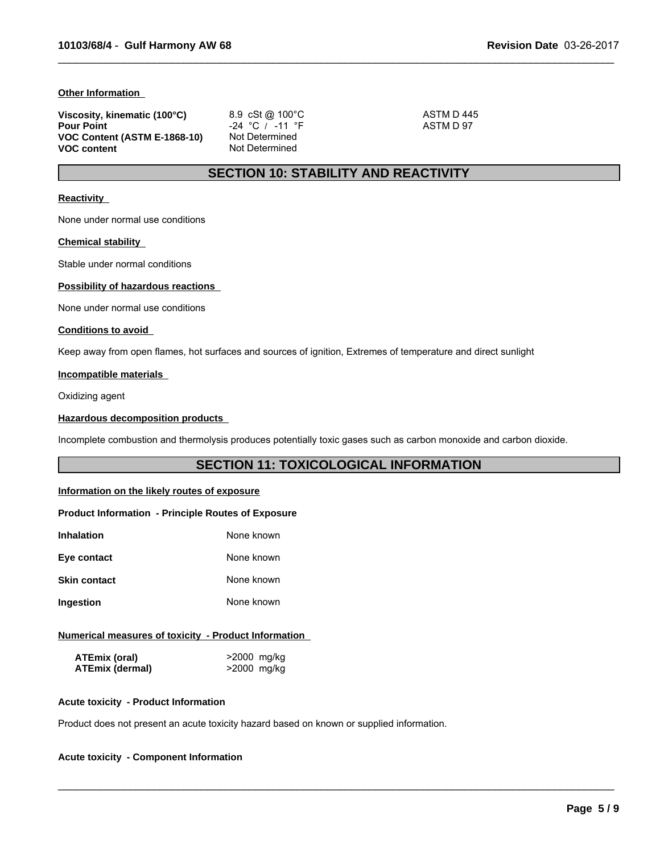#### **Other Information**

| Viscosity, kinematic (100°C) | 8.9 cSt @ $100^{\circ}$ C | ASTM D 445 |  |
|------------------------------|---------------------------|------------|--|
| <b>Pour Point</b>            | -24 °C / -11 °F           | ASTM D 97  |  |
| VOC Content (ASTM E-1868-10) | Not Determined            |            |  |
| <b>VOC content</b>           | Not Determined            |            |  |

 $\_$  ,  $\_$  ,  $\_$  ,  $\_$  ,  $\_$  ,  $\_$  ,  $\_$  ,  $\_$  ,  $\_$  ,  $\_$  ,  $\_$  ,  $\_$  ,  $\_$  ,  $\_$  ,  $\_$  ,  $\_$  ,  $\_$  ,  $\_$  ,  $\_$  ,  $\_$  ,  $\_$  ,  $\_$  ,  $\_$  ,  $\_$  ,  $\_$  ,  $\_$  ,  $\_$  ,  $\_$  ,  $\_$  ,  $\_$  ,  $\_$  ,  $\_$  ,  $\_$  ,  $\_$  ,  $\_$  ,  $\_$  ,  $\_$  ,

# **SECTION 10: STABILITY AND REACTIVITY**

#### **Reactivity**

None under normal use conditions

#### **Chemical stability**

Stable under normal conditions

### **Possibility of hazardous reactions**

None under normal use conditions

#### **Conditions to avoid**

Keep away from open flames, hot surfaces and sources of ignition, Extremes of temperature and direct sunlight

### **Incompatible materials**

Oxidizing agent

#### **Hazardous decomposition products**

Incomplete combustion and thermolysis produces potentially toxic gases such as carbon monoxide and carbon dioxide.

# **SECTION 11: TOXICOLOGICAL INFORMATION**

 $\_$  ,  $\_$  ,  $\_$  ,  $\_$  ,  $\_$  ,  $\_$  ,  $\_$  ,  $\_$  ,  $\_$  ,  $\_$  ,  $\_$  ,  $\_$  ,  $\_$  ,  $\_$  ,  $\_$  ,  $\_$  ,  $\_$  ,  $\_$  ,  $\_$  ,  $\_$  ,  $\_$  ,  $\_$  ,  $\_$  ,  $\_$  ,  $\_$  ,  $\_$  ,  $\_$  ,  $\_$  ,  $\_$  ,  $\_$  ,  $\_$  ,  $\_$  ,  $\_$  ,  $\_$  ,  $\_$  ,  $\_$  ,  $\_$  ,

### **Information on the likely routes of exposure**

#### **Product Information - Principle Routes of Exposure**

| Inhalation   | None known |
|--------------|------------|
| Eye contact  | None known |
| Skin contact | None known |
| Ingestion    | None known |

#### **Numerical measures of toxicity - Product Information**

| ATEmix (oral)          | >2000 mg/kg |
|------------------------|-------------|
| <b>ATEmix (dermal)</b> | >2000 mg/kg |

#### **Acute toxicity - Product Information**

Product does not present an acute toxicity hazard based on known or supplied information.

### **Acute toxicity - Component Information**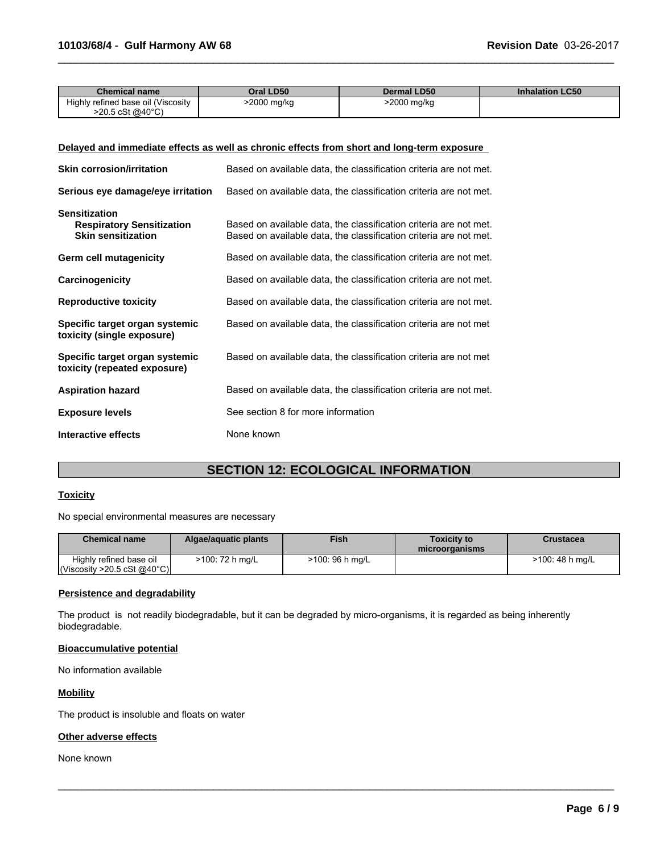| <b>Chemical name</b>               | Oral LD50   | <b>Dermal LD50</b> | <b>Inhalation LC50</b> |
|------------------------------------|-------------|--------------------|------------------------|
| Highly refined base oil (Viscosity | >2000 mg/kg | 2000 mg/kg         |                        |
| >20.5 cSt @40°C)                   |             |                    |                        |

 $\_$  ,  $\_$  ,  $\_$  ,  $\_$  ,  $\_$  ,  $\_$  ,  $\_$  ,  $\_$  ,  $\_$  ,  $\_$  ,  $\_$  ,  $\_$  ,  $\_$  ,  $\_$  ,  $\_$  ,  $\_$  ,  $\_$  ,  $\_$  ,  $\_$  ,  $\_$  ,  $\_$  ,  $\_$  ,  $\_$  ,  $\_$  ,  $\_$  ,  $\_$  ,  $\_$  ,  $\_$  ,  $\_$  ,  $\_$  ,  $\_$  ,  $\_$  ,  $\_$  ,  $\_$  ,  $\_$  ,  $\_$  ,  $\_$  ,

# **Delayed and immediate effects as well as chronic effects from short and long-term exposure**

| <b>Skin corrosion/irritation</b>                                                      | Based on available data, the classification criteria are not met.                                                                      |
|---------------------------------------------------------------------------------------|----------------------------------------------------------------------------------------------------------------------------------------|
| Serious eye damage/eye irritation                                                     | Based on available data, the classification criteria are not met.                                                                      |
| <b>Sensitization</b><br><b>Respiratory Sensitization</b><br><b>Skin sensitization</b> | Based on available data, the classification criteria are not met.<br>Based on available data, the classification criteria are not met. |
| Germ cell mutagenicity                                                                | Based on available data, the classification criteria are not met.                                                                      |
| Carcinogenicity                                                                       | Based on available data, the classification criteria are not met.                                                                      |
| <b>Reproductive toxicity</b>                                                          | Based on available data, the classification criteria are not met.                                                                      |
| Specific target organ systemic<br>toxicity (single exposure)                          | Based on available data, the classification criteria are not met                                                                       |
| Specific target organ systemic<br>toxicity (repeated exposure)                        | Based on available data, the classification criteria are not met                                                                       |
| <b>Aspiration hazard</b>                                                              | Based on available data, the classification criteria are not met.                                                                      |
| <b>Exposure levels</b>                                                                | See section 8 for more information                                                                                                     |
| Interactive effects                                                                   | None known                                                                                                                             |

# **SECTION 12: ECOLOGICAL INFORMATION**

#### **Toxicity**

No special environmental measures are necessary

| <b>Chemical name</b>                                   | Algae/aguatic plants | <b>Fish</b>     | Toxicitv to<br>microorganisms | Crustacea       |
|--------------------------------------------------------|----------------------|-----------------|-------------------------------|-----------------|
| Highly refined base oil<br> Viscosity > 20.5 cSt @40°C | >100: 72 h mg/L      | >100: 96 h mg/L |                               | >100: 48 h mg/L |

 $\_$  ,  $\_$  ,  $\_$  ,  $\_$  ,  $\_$  ,  $\_$  ,  $\_$  ,  $\_$  ,  $\_$  ,  $\_$  ,  $\_$  ,  $\_$  ,  $\_$  ,  $\_$  ,  $\_$  ,  $\_$  ,  $\_$  ,  $\_$  ,  $\_$  ,  $\_$  ,  $\_$  ,  $\_$  ,  $\_$  ,  $\_$  ,  $\_$  ,  $\_$  ,  $\_$  ,  $\_$  ,  $\_$  ,  $\_$  ,  $\_$  ,  $\_$  ,  $\_$  ,  $\_$  ,  $\_$  ,  $\_$  ,  $\_$  ,

#### **Persistence and degradability**

The product is not readily biodegradable, but it can be degraded by micro-organisms, it is regarded as being inherently biodegradable.

### **Bioaccumulative potential**

No information available

### **Mobility**

The product is insoluble and floats on water

### **Other adverse effects**

None known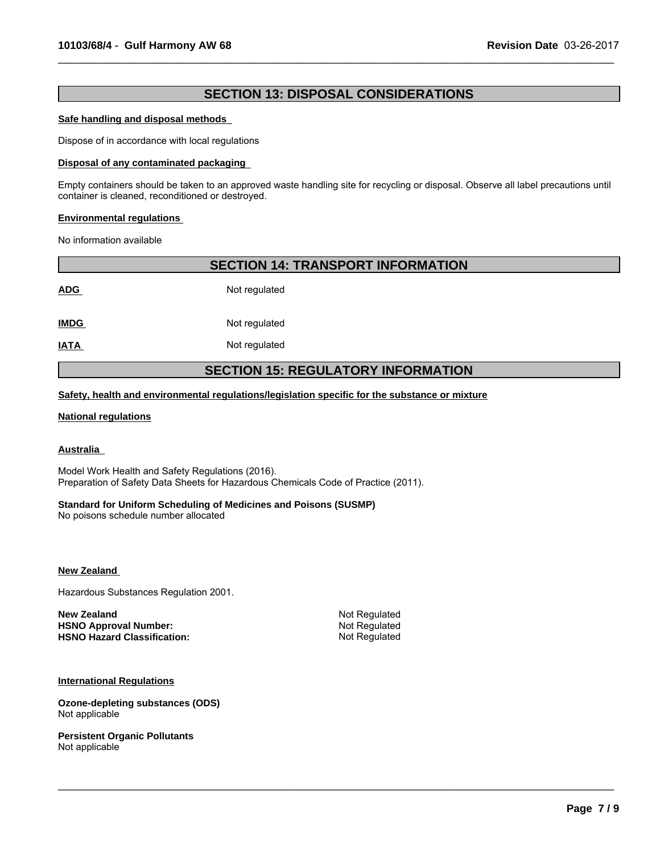# **SECTION 13: DISPOSAL CONSIDERATIONS**

 $\_$  ,  $\_$  ,  $\_$  ,  $\_$  ,  $\_$  ,  $\_$  ,  $\_$  ,  $\_$  ,  $\_$  ,  $\_$  ,  $\_$  ,  $\_$  ,  $\_$  ,  $\_$  ,  $\_$  ,  $\_$  ,  $\_$  ,  $\_$  ,  $\_$  ,  $\_$  ,  $\_$  ,  $\_$  ,  $\_$  ,  $\_$  ,  $\_$  ,  $\_$  ,  $\_$  ,  $\_$  ,  $\_$  ,  $\_$  ,  $\_$  ,  $\_$  ,  $\_$  ,  $\_$  ,  $\_$  ,  $\_$  ,  $\_$  ,

#### **Safe handling and disposal methods**

Dispose of in accordance with local regulations

#### **Disposal of any contaminated packaging**

Empty containers should be taken to an approved waste handling site for recycling or disposal. Observe all label precautions until container is cleaned, reconditioned or destroyed.

#### **Environmental regulations**

No information available

| <b>SECTION 14: TRANSPORT INFORMATION</b>  |               |  |  |  |
|-------------------------------------------|---------------|--|--|--|
| <b>ADG</b>                                | Not regulated |  |  |  |
| <b>IMDG</b>                               | Not regulated |  |  |  |
| <b>IATA</b>                               | Not regulated |  |  |  |
| <b>SECTION 15: REGULATORY INFORMATION</b> |               |  |  |  |

**Safety, health and environmental regulations/legislation specific for the substance or mixture**

#### **National regulations**

#### **Australia**

Model Work Health and Safety Regulations (2016). Preparation of Safety Data Sheets for Hazardous Chemicals Code of Practice (2011).

#### **Standard for Uniform Scheduling of Medicines and Poisons (SUSMP)**

No poisons schedule number allocated

**New Zealand** 

Hazardous Substances Regulation 2001.

**New Zealand** Not Regulated **HSNO Approval Number:** Not Regulated<br> **HSNO Hazard Classification:** Not Regulated **HSNO Hazard Classification:** 

 $\_$  ,  $\_$  ,  $\_$  ,  $\_$  ,  $\_$  ,  $\_$  ,  $\_$  ,  $\_$  ,  $\_$  ,  $\_$  ,  $\_$  ,  $\_$  ,  $\_$  ,  $\_$  ,  $\_$  ,  $\_$  ,  $\_$  ,  $\_$  ,  $\_$  ,  $\_$  ,  $\_$  ,  $\_$  ,  $\_$  ,  $\_$  ,  $\_$  ,  $\_$  ,  $\_$  ,  $\_$  ,  $\_$  ,  $\_$  ,  $\_$  ,  $\_$  ,  $\_$  ,  $\_$  ,  $\_$  ,  $\_$  ,  $\_$  ,

**International Regulations**

**Ozone-depleting substances (ODS)** Not applicable

**Persistent Organic Pollutants** Not applicable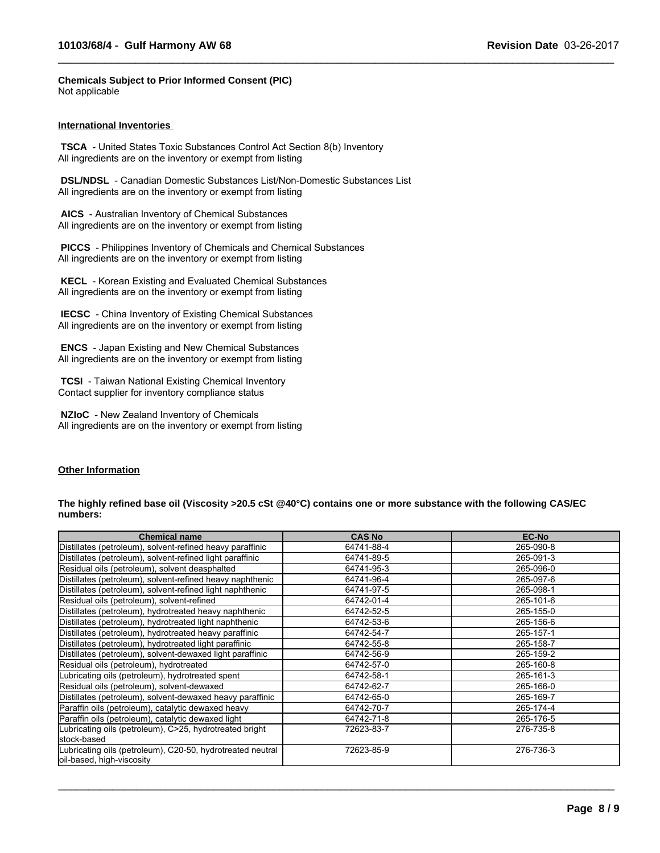**Chemicals Subject to Prior Informed Consent (PIC)** Not applicable

#### **International Inventories**

 **TSCA** - United States Toxic Substances Control Act Section 8(b) Inventory All ingredients are on the inventory or exempt from listing

 **DSL/NDSL** - Canadian Domestic Substances List/Non-Domestic Substances List All ingredients are on the inventory or exempt from listing

 **AICS** - Australian Inventory of Chemical Substances All ingredients are on the inventory or exempt from listing

 **PICCS** - Philippines Inventory of Chemicals and Chemical Substances All ingredients are on the inventory or exempt from listing

 **KECL** - Korean Existing and Evaluated Chemical Substances All ingredients are on the inventory or exempt from listing

 **IECSC** - China Inventory of Existing Chemical Substances All ingredients are on the inventory or exempt from listing

 **ENCS** - Japan Existing and New Chemical Substances All ingredients are on the inventory or exempt from listing

 **TCSI** - Taiwan National Existing Chemical Inventory Contact supplier for inventory compliance status

 **NZIoC** - New Zealand Inventory of Chemicals All ingredients are on the inventory or exempt from listing

# **Other Information**

#### **The highly refined base oil (Viscosity >20.5 cSt @40°C) contains one or more substance with the following CAS/EC numbers:**

 $\_$  ,  $\_$  ,  $\_$  ,  $\_$  ,  $\_$  ,  $\_$  ,  $\_$  ,  $\_$  ,  $\_$  ,  $\_$  ,  $\_$  ,  $\_$  ,  $\_$  ,  $\_$  ,  $\_$  ,  $\_$  ,  $\_$  ,  $\_$  ,  $\_$  ,  $\_$  ,  $\_$  ,  $\_$  ,  $\_$  ,  $\_$  ,  $\_$  ,  $\_$  ,  $\_$  ,  $\_$  ,  $\_$  ,  $\_$  ,  $\_$  ,  $\_$  ,  $\_$  ,  $\_$  ,  $\_$  ,  $\_$  ,  $\_$  ,

| <b>Chemical name</b>                                                                    | <b>CAS No</b> | <b>EC-No</b> |
|-----------------------------------------------------------------------------------------|---------------|--------------|
| Distillates (petroleum), solvent-refined heavy paraffinic                               | 64741-88-4    | 265-090-8    |
| Distillates (petroleum), solvent-refined light paraffinic                               | 64741-89-5    | 265-091-3    |
| Residual oils (petroleum), solvent deasphalted                                          | 64741-95-3    | 265-096-0    |
| Distillates (petroleum), solvent-refined heavy naphthenic                               | 64741-96-4    | 265-097-6    |
| Distillates (petroleum), solvent-refined light naphthenic                               | 64741-97-5    | 265-098-1    |
| Residual oils (petroleum), solvent-refined                                              | 64742-01-4    | 265-101-6    |
| Distillates (petroleum), hydrotreated heavy naphthenic                                  | 64742-52-5    | 265-155-0    |
| Distillates (petroleum), hydrotreated light naphthenic                                  | 64742-53-6    | 265-156-6    |
| Distillates (petroleum), hydrotreated heavy paraffinic                                  | 64742-54-7    | 265-157-1    |
| Distillates (petroleum), hydrotreated light paraffinic                                  | 64742-55-8    | 265-158-7    |
| Distillates (petroleum), solvent-dewaxed light paraffinic                               | 64742-56-9    | 265-159-2    |
| Residual oils (petroleum), hydrotreated                                                 | 64742-57-0    | 265-160-8    |
| Lubricating oils (petroleum), hydrotreated spent                                        | 64742-58-1    | 265-161-3    |
| Residual oils (petroleum), solvent-dewaxed                                              | 64742-62-7    | 265-166-0    |
| Distillates (petroleum), solvent-dewaxed heavy paraffinic                               | 64742-65-0    | 265-169-7    |
| Paraffin oils (petroleum), catalytic dewaxed heavy                                      | 64742-70-7    | 265-174-4    |
| Paraffin oils (petroleum), catalytic dewaxed light                                      | 64742-71-8    | 265-176-5    |
| Lubricating oils (petroleum), C>25, hydrotreated bright                                 | 72623-83-7    | 276-735-8    |
| stock-based                                                                             |               |              |
| Lubricating oils (petroleum), C20-50, hydrotreated neutral<br>oil-based, high-viscosity | 72623-85-9    | 276-736-3    |

 $\_$  ,  $\_$  ,  $\_$  ,  $\_$  ,  $\_$  ,  $\_$  ,  $\_$  ,  $\_$  ,  $\_$  ,  $\_$  ,  $\_$  ,  $\_$  ,  $\_$  ,  $\_$  ,  $\_$  ,  $\_$  ,  $\_$  ,  $\_$  ,  $\_$  ,  $\_$  ,  $\_$  ,  $\_$  ,  $\_$  ,  $\_$  ,  $\_$  ,  $\_$  ,  $\_$  ,  $\_$  ,  $\_$  ,  $\_$  ,  $\_$  ,  $\_$  ,  $\_$  ,  $\_$  ,  $\_$  ,  $\_$  ,  $\_$  ,